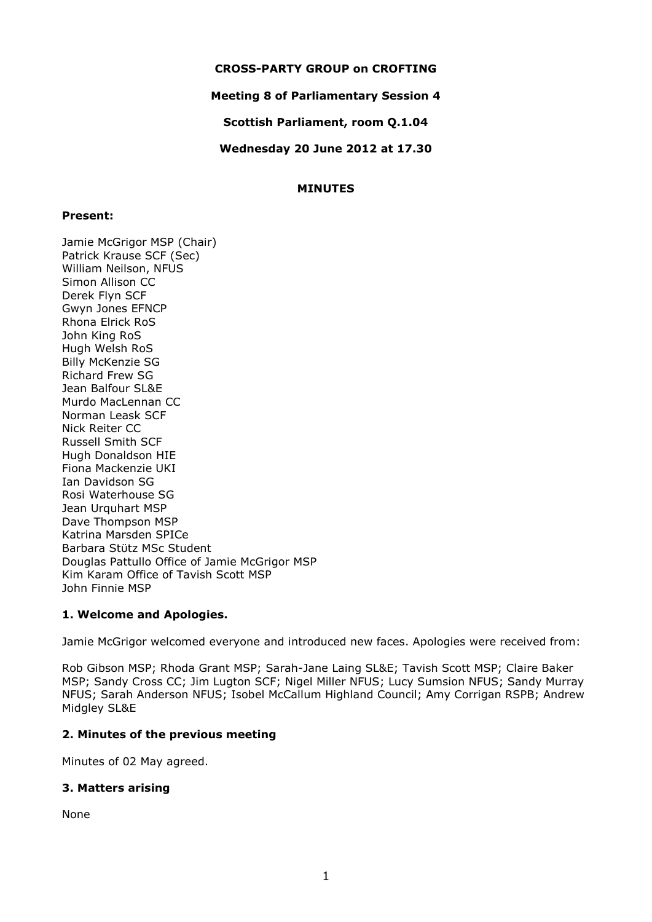### **CROSS-PARTY GROUP on CROFTING**

### **Meeting 8 of Parliamentary Session 4**

**Scottish Parliament, room Q.1.04**

**Wednesday 20 June 2012 at 17.30**

### **MINUTES**

### **Present:**

Jamie McGrigor MSP (Chair) Patrick Krause SCF (Sec) William Neilson, NFUS Simon Allison CC Derek Flyn SCF Gwyn Jones EFNCP Rhona Elrick RoS John King RoS Hugh Welsh RoS Billy McKenzie SG Richard Frew SG Jean Balfour SL&E Murdo MacLennan CC Norman Leask SCF Nick Reiter CC Russell Smith SCF Hugh Donaldson HIE Fiona Mackenzie UKI Ian Davidson SG Rosi Waterhouse SG Jean Urquhart MSP Dave Thompson MSP Katrina Marsden SPICe Barbara Stϋtz MSc Student Douglas Pattullo Office of Jamie McGrigor MSP Kim Karam Office of Tavish Scott MSP John Finnie MSP

# **1. Welcome and Apologies.**

Jamie McGrigor welcomed everyone and introduced new faces. Apologies were received from:

Rob Gibson MSP; Rhoda Grant MSP; Sarah-Jane Laing SL&E; Tavish Scott MSP; Claire Baker MSP; Sandy Cross CC; Jim Lugton SCF; Nigel Miller NFUS; Lucy Sumsion NFUS; Sandy Murray NFUS; Sarah Anderson NFUS; Isobel McCallum Highland Council; Amy Corrigan RSPB; Andrew Midgley SL&E

### **2. Minutes of the previous meeting**

Minutes of 02 May agreed.

# **3. Matters arising**

None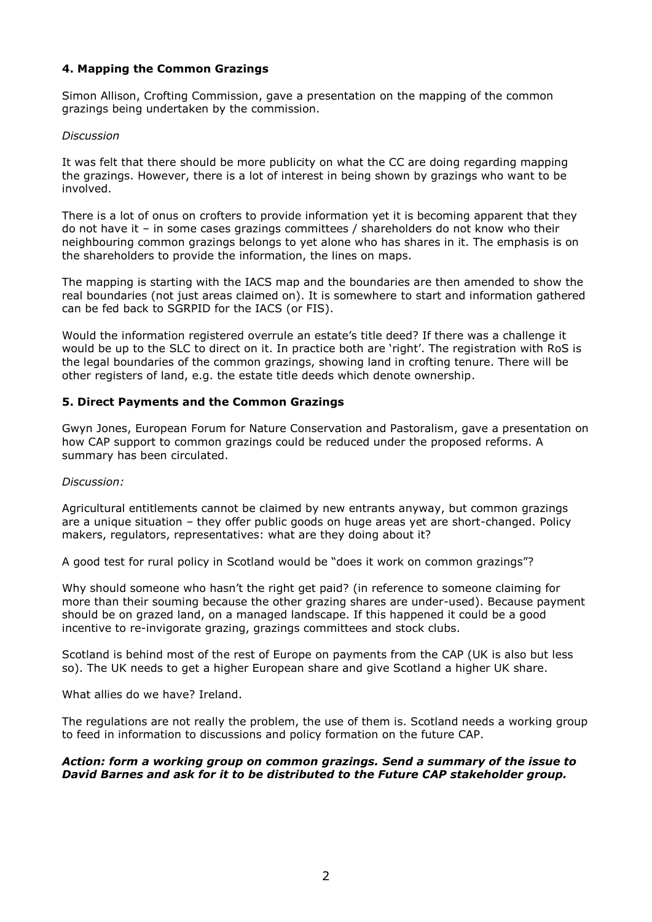# **4. Mapping the Common Grazings**

Simon Allison, Crofting Commission, gave a presentation on the mapping of the common grazings being undertaken by the commission.

#### *Discussion*

It was felt that there should be more publicity on what the CC are doing regarding mapping the grazings. However, there is a lot of interest in being shown by grazings who want to be involved.

There is a lot of onus on crofters to provide information yet it is becoming apparent that they do not have it – in some cases grazings committees / shareholders do not know who their neighbouring common grazings belongs to yet alone who has shares in it. The emphasis is on the shareholders to provide the information, the lines on maps.

The mapping is starting with the IACS map and the boundaries are then amended to show the real boundaries (not just areas claimed on). It is somewhere to start and information gathered can be fed back to SGRPID for the IACS (or FIS).

Would the information registered overrule an estate's title deed? If there was a challenge it would be up to the SLC to direct on it. In practice both are 'right'. The registration with RoS is the legal boundaries of the common grazings, showing land in crofting tenure. There will be other registers of land, e.g. the estate title deeds which denote ownership.

### **5. Direct Payments and the Common Grazings**

Gwyn Jones, European Forum for Nature Conservation and Pastoralism, gave a presentation on how CAP support to common grazings could be reduced under the proposed reforms. A summary has been circulated.

### *Discussion:*

Agricultural entitlements cannot be claimed by new entrants anyway, but common grazings are a unique situation – they offer public goods on huge areas yet are short-changed. Policy makers, regulators, representatives: what are they doing about it?

A good test for rural policy in Scotland would be "does it work on common grazings"?

Why should someone who hasn't the right get paid? (in reference to someone claiming for more than their souming because the other grazing shares are under-used). Because payment should be on grazed land, on a managed landscape. If this happened it could be a good incentive to re-invigorate grazing, grazings committees and stock clubs.

Scotland is behind most of the rest of Europe on payments from the CAP (UK is also but less so). The UK needs to get a higher European share and give Scotland a higher UK share.

What allies do we have? Ireland.

The regulations are not really the problem, the use of them is. Scotland needs a working group to feed in information to discussions and policy formation on the future CAP.

### *Action: form a working group on common grazings. Send a summary of the issue to David Barnes and ask for it to be distributed to the Future CAP stakeholder group.*